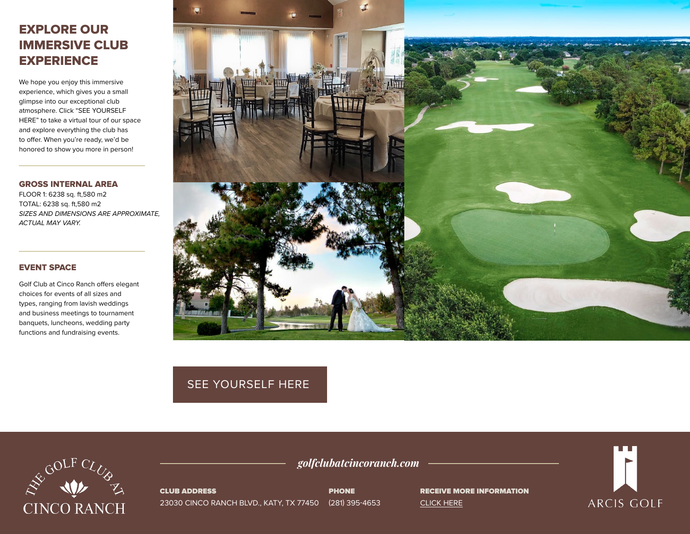## EXPLORE OUR IMMERSIVE CLUB **EXPERIENCE**

We hope you enjoy this immersive experience, which gives you a small glimpse into our exceptional club atmosphere. Click "SEE YOURSELF HERE" to take a virtual tour of our space and explore everything the club has to offer. When you're ready, we'd be honored to show you more in person!

GROSS INTERNAL AREA FLOOR 1: 6238 sq. ft,580 m2 TOTAL: 6238 sq. ft,580 m2 *SIZES AND DIMENSIONS ARE APPROXIMATE, ACTUAL MAY VARY.*

## EVENT SPACE

Golf Club at Cinco Ranch offers elegant choices for events of all sizes and types, ranging from lavish weddings and business meetings to tournament banquets, luncheons, wedding party functions and fundraising events.



## [SEE YOURSELF HERE](https://visitingmedia.com/tt8/?ttid=golf-club-at-cinco-ranch#/3d-model)



CLUB ADDRESS 23030 CINCO RANCH BLVD., KATY, TX 77450 (281) 395-4653 PHONE

*golfclubatcincoranch.com*

RECEIVE MORE INFORMATION [CLICK HERE](https://www.golfclubatcincoranch.com/private-events-vm)